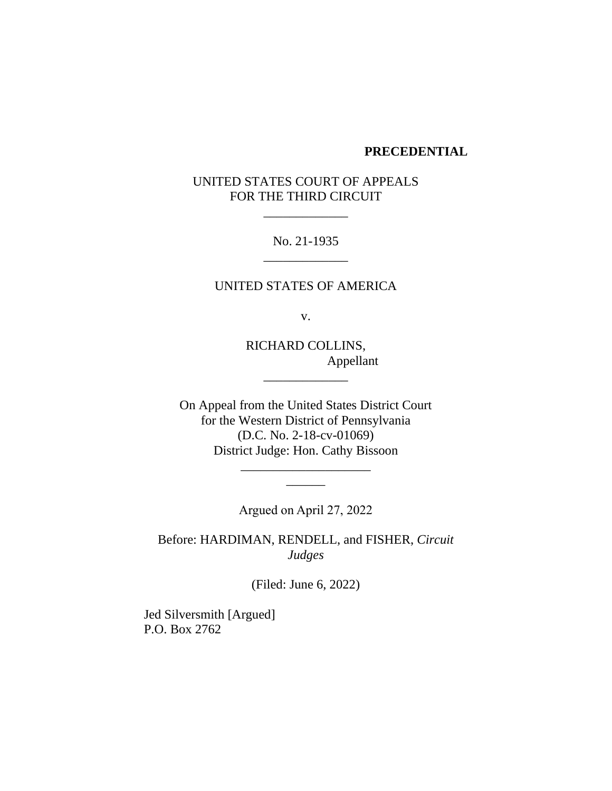#### **PRECEDENTIAL**

# UNITED STATES COURT OF APPEALS FOR THE THIRD CIRCUIT

\_\_\_\_\_\_\_\_\_\_\_\_\_

No. 21-1935 \_\_\_\_\_\_\_\_\_\_\_\_\_

UNITED STATES OF AMERICA

v.

RICHARD COLLINS, Appellant

\_\_\_\_\_\_\_\_\_\_\_\_\_

On Appeal from the United States District Court for the Western District of Pennsylvania (D.C. No. 2-18-cv-01069) District Judge: Hon. Cathy Bissoon

> \_\_\_\_\_\_\_\_\_\_\_\_\_\_\_\_\_\_\_\_  $\overline{\phantom{a}}$

Argued on April 27, 2022

Before: HARDIMAN, RENDELL, and FISHER, *Circuit Judges*

(Filed: June 6, 2022)

Jed Silversmith [Argued] P.O. Box 2762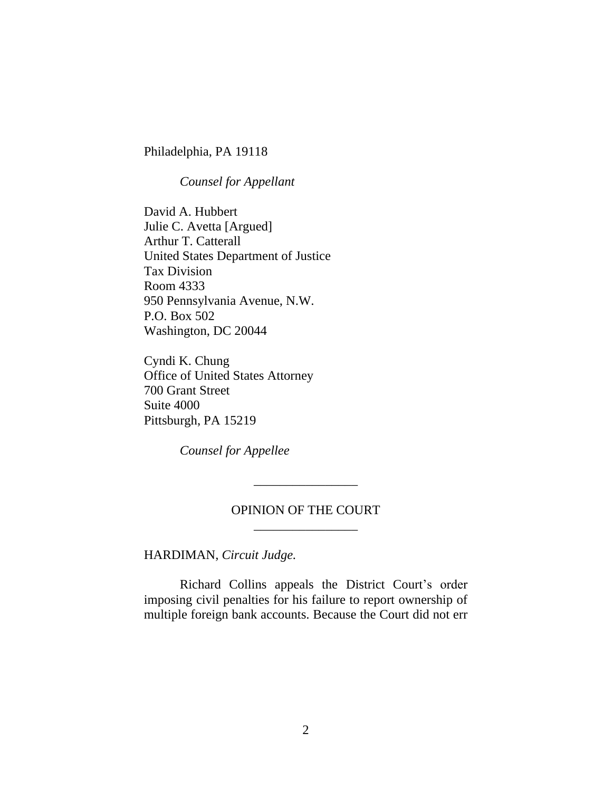Philadelphia, PA 19118

*Counsel for Appellant*

David A. Hubbert Julie C. Avetta [Argued] Arthur T. Catterall United States Department of Justice Tax Division Room 4333 950 Pennsylvania Avenue, N.W. P.O. Box 502 Washington, DC 20044

Cyndi K. Chung Office of United States Attorney 700 Grant Street Suite 4000 Pittsburgh, PA 15219

*Counsel for Appellee*

## OPINION OF THE COURT \_\_\_\_\_\_\_\_\_\_\_\_\_\_\_\_

\_\_\_\_\_\_\_\_\_\_\_\_\_\_\_\_

HARDIMAN, *Circuit Judge.*

Richard Collins appeals the District Court's order imposing civil penalties for his failure to report ownership of multiple foreign bank accounts. Because the Court did not err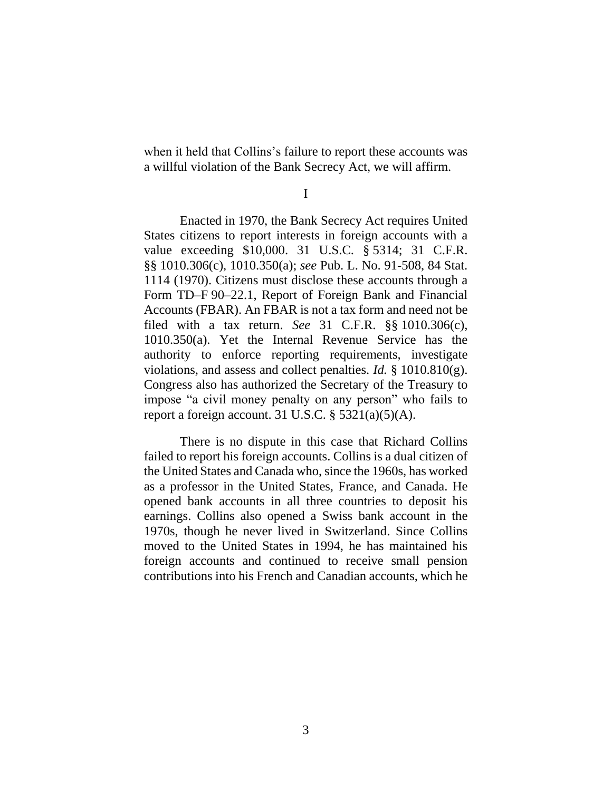when it held that Collins's failure to report these accounts was a willful violation of the Bank Secrecy Act, we will affirm.

I

Enacted in 1970, the Bank Secrecy Act requires United States citizens to report interests in foreign accounts with a value exceeding \$10,000. 31 U.S.C. § 5314; 31 C.F.R. §§ 1010.306(c), 1010.350(a); *see* Pub. L. No. 91-508, 84 Stat. 1114 (1970). Citizens must disclose these accounts through a Form TD–F 90–22.1, Report of Foreign Bank and Financial Accounts (FBAR). An FBAR is not a tax form and need not be filed with a tax return. *See* 31 C.F.R. §§ 1010.306(c), 1010.350(a). Yet the Internal Revenue Service has the authority to enforce reporting requirements, investigate violations, and assess and collect penalties. *Id.* § 1010.810(g). Congress also has authorized the Secretary of the Treasury to impose "a civil money penalty on any person" who fails to report a foreign account. 31 U.S.C.  $\S$  5321(a)(5)(A).

There is no dispute in this case that Richard Collins failed to report his foreign accounts. Collins is a dual citizen of the United States and Canada who, since the 1960s, has worked as a professor in the United States, France, and Canada. He opened bank accounts in all three countries to deposit his earnings. Collins also opened a Swiss bank account in the 1970s, though he never lived in Switzerland. Since Collins moved to the United States in 1994, he has maintained his foreign accounts and continued to receive small pension contributions into his French and Canadian accounts, which he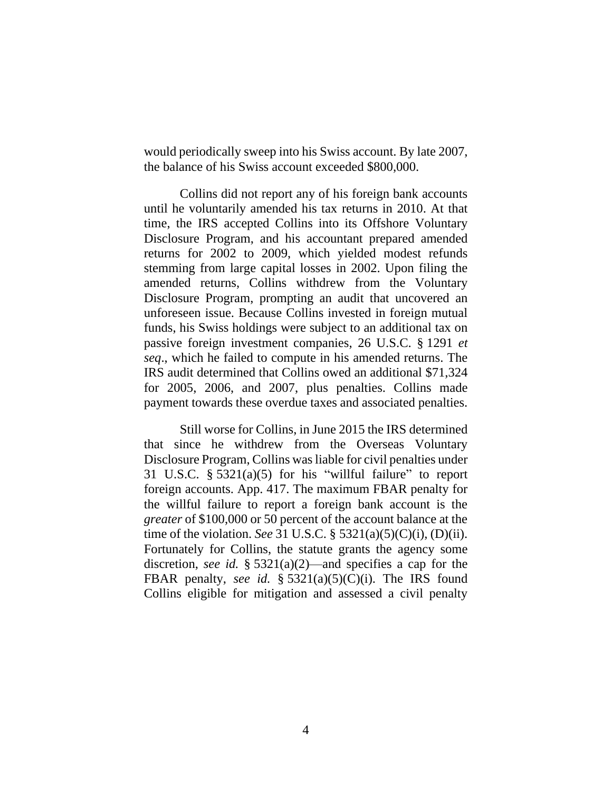would periodically sweep into his Swiss account. By late 2007, the balance of his Swiss account exceeded \$800,000.

Collins did not report any of his foreign bank accounts until he voluntarily amended his tax returns in 2010. At that time, the IRS accepted Collins into its Offshore Voluntary Disclosure Program, and his accountant prepared amended returns for 2002 to 2009, which yielded modest refunds stemming from large capital losses in 2002. Upon filing the amended returns, Collins withdrew from the Voluntary Disclosure Program, prompting an audit that uncovered an unforeseen issue. Because Collins invested in foreign mutual funds, his Swiss holdings were subject to an additional tax on passive foreign investment companies, 26 U.S.C. § 1291 *et seq*., which he failed to compute in his amended returns. The IRS audit determined that Collins owed an additional \$71,324 for 2005, 2006, and 2007, plus penalties. Collins made payment towards these overdue taxes and associated penalties.

Still worse for Collins, in June 2015 the IRS determined that since he withdrew from the Overseas Voluntary Disclosure Program, Collins wasliable for civil penalties under 31 U.S.C.  $\S 5321(a)(5)$  for his "willful failure" to report foreign accounts. App. 417. The maximum FBAR penalty for the willful failure to report a foreign bank account is the *greater* of \$100,000 or 50 percent of the account balance at the time of the violation. *See* 31 U.S.C. § 5321(a)(5)(C)(i), (D)(ii). Fortunately for Collins, the statute grants the agency some discretion, *see id.* § 5321(a)(2)—and specifies a cap for the FBAR penalty, *see id.* § 5321(a)(5)(C)(i). The IRS found Collins eligible for mitigation and assessed a civil penalty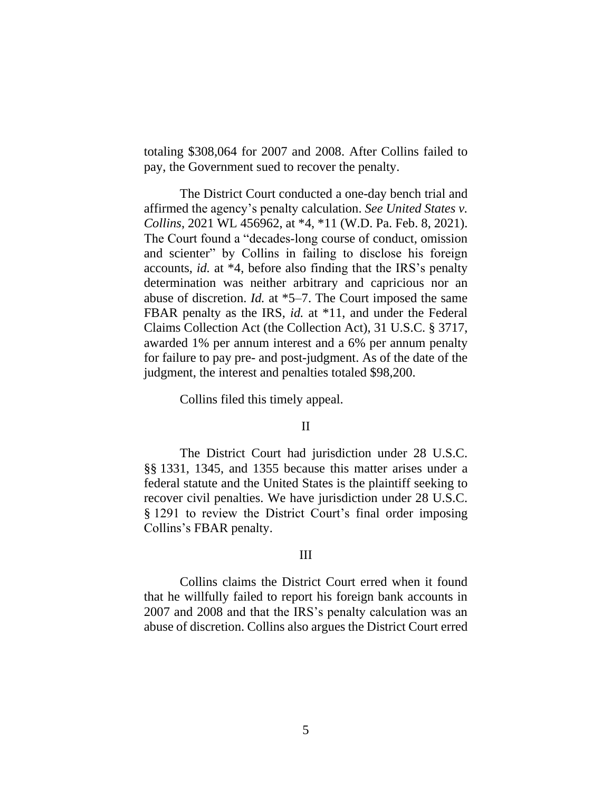totaling \$308,064 for 2007 and 2008. After Collins failed to pay, the Government sued to recover the penalty.

The District Court conducted a one-day bench trial and affirmed the agency's penalty calculation. *See United States v. Collins*, 2021 WL 456962, at \*4, \*11 (W.D. Pa. Feb. 8, 2021). The Court found a "decades‐long course of conduct, omission and scienter" by Collins in failing to disclose his foreign accounts, *id.* at \*4, before also finding that the IRS's penalty determination was neither arbitrary and capricious nor an abuse of discretion. *Id.* at \*5–7. The Court imposed the same FBAR penalty as the IRS, *id.* at \*11, and under the Federal Claims Collection Act (the Collection Act), 31 U.S.C. § 3717, awarded 1% per annum interest and a 6% per annum penalty for failure to pay pre- and post-judgment. As of the date of the judgment, the interest and penalties totaled \$98,200.

Collins filed this timely appeal.

#### II

The District Court had jurisdiction under 28 U.S.C. §§ 1331, 1345, and 1355 because this matter arises under a federal statute and the United States is the plaintiff seeking to recover civil penalties. We have jurisdiction under 28 U.S.C. § 1291 to review the District Court's final order imposing Collins's FBAR penalty.

## III

Collins claims the District Court erred when it found that he willfully failed to report his foreign bank accounts in 2007 and 2008 and that the IRS's penalty calculation was an abuse of discretion. Collins also argues the District Court erred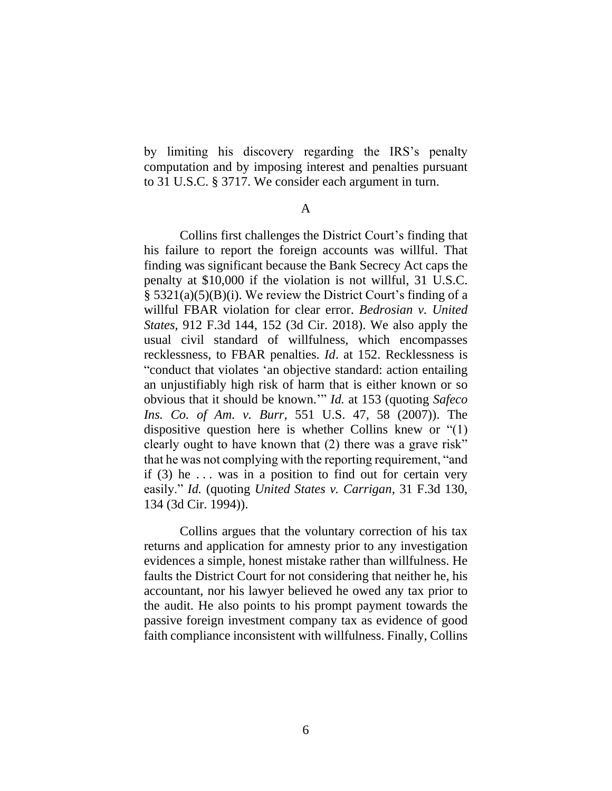by limiting his discovery regarding the IRS's penalty computation and by imposing interest and penalties pursuant to 31 U.S.C. § 3717. We consider each argument in turn.

A

Collins first challenges the District Court's finding that his failure to report the foreign accounts was willful. That finding was significant because the Bank Secrecy Act caps the penalty at \$10,000 if the violation is not willful, 31 U.S.C. § 5321(a)(5)(B)(i). We review the District Court's finding of a willful FBAR violation for clear error. *Bedrosian v. United States*, 912 F.3d 144, 152 (3d Cir. 2018). We also apply the usual civil standard of willfulness, which encompasses recklessness, to FBAR penalties. *Id*. at 152. Recklessness is "conduct that violates 'an objective standard: action entailing an unjustifiably high risk of harm that is either known or so obvious that it should be known.'" *Id.* at 153 (quoting *Safeco Ins. Co. of Am. v. Burr*, 551 U.S. 47, 58 (2007)). The dispositive question here is whether Collins knew or "(1) clearly ought to have known that (2) there was a grave risk" that he was not complying with the reporting requirement, "and if  $(3)$  he ... was in a position to find out for certain very easily." *Id.* (quoting *United States v. Carrigan*, 31 F.3d 130, 134 (3d Cir. 1994)).

Collins argues that the voluntary correction of his tax returns and application for amnesty prior to any investigation evidences a simple, honest mistake rather than willfulness. He faults the District Court for not considering that neither he, his accountant, nor his lawyer believed he owed any tax prior to the audit. He also points to his prompt payment towards the passive foreign investment company tax as evidence of good faith compliance inconsistent with willfulness. Finally, Collins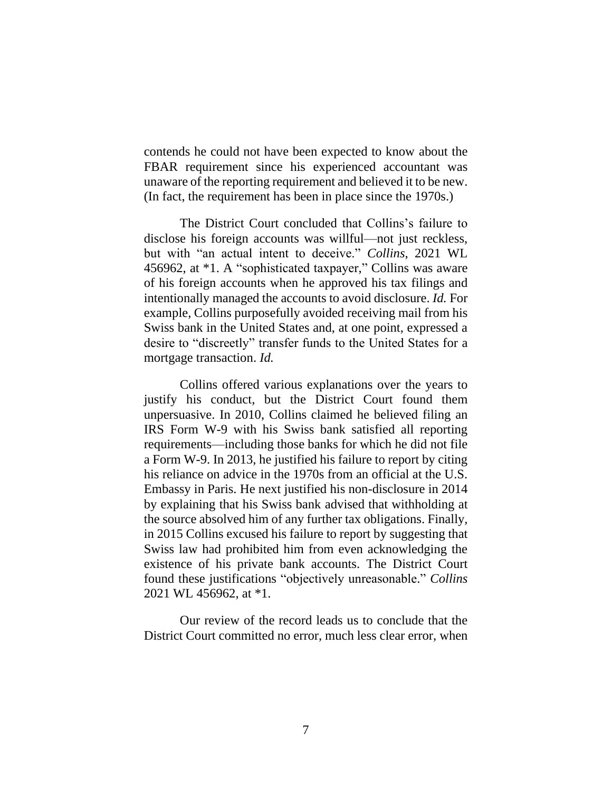contends he could not have been expected to know about the FBAR requirement since his experienced accountant was unaware of the reporting requirement and believed it to be new. (In fact, the requirement has been in place since the 1970s.)

The District Court concluded that Collins's failure to disclose his foreign accounts was willful—not just reckless, but with "an actual intent to deceive." *Collins*, 2021 WL 456962, at \*1. A "sophisticated taxpayer," Collins was aware of his foreign accounts when he approved his tax filings and intentionally managed the accounts to avoid disclosure. *Id.* For example, Collins purposefully avoided receiving mail from his Swiss bank in the United States and, at one point, expressed a desire to "discreetly" transfer funds to the United States for a mortgage transaction. *Id.*

Collins offered various explanations over the years to justify his conduct, but the District Court found them unpersuasive. In 2010, Collins claimed he believed filing an IRS Form W-9 with his Swiss bank satisfied all reporting requirements—including those banks for which he did not file a Form W-9. In 2013, he justified his failure to report by citing his reliance on advice in the 1970s from an official at the U.S. Embassy in Paris. He next justified his non-disclosure in 2014 by explaining that his Swiss bank advised that withholding at the source absolved him of any further tax obligations. Finally, in 2015 Collins excused his failure to report by suggesting that Swiss law had prohibited him from even acknowledging the existence of his private bank accounts. The District Court found these justifications "objectively unreasonable." *Collins* 2021 WL 456962, at \*1.

Our review of the record leads us to conclude that the District Court committed no error, much less clear error, when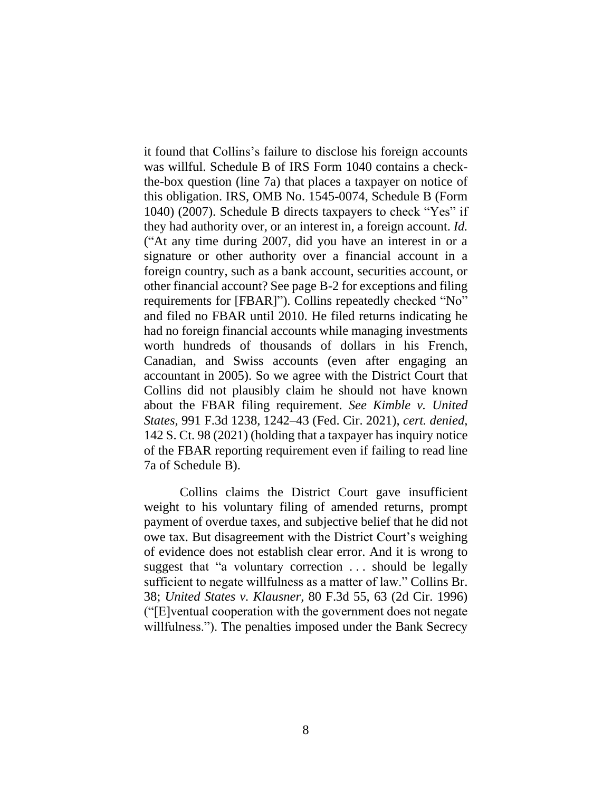it found that Collins's failure to disclose his foreign accounts was willful. Schedule B of IRS Form 1040 contains a checkthe-box question (line 7a) that places a taxpayer on notice of this obligation. IRS, OMB No. 1545-0074, Schedule B (Form 1040) (2007). Schedule B directs taxpayers to check "Yes" if they had authority over, or an interest in, a foreign account. *Id.* ("At any time during 2007, did you have an interest in or a signature or other authority over a financial account in a foreign country, such as a bank account, securities account, or other financial account? See page B-2 for exceptions and filing requirements for [FBAR]"). Collins repeatedly checked "No" and filed no FBAR until 2010. He filed returns indicating he had no foreign financial accounts while managing investments worth hundreds of thousands of dollars in his French, Canadian, and Swiss accounts (even after engaging an accountant in 2005). So we agree with the District Court that Collins did not plausibly claim he should not have known about the FBAR filing requirement. *See Kimble v. United States*, 991 F.3d 1238, 1242–43 (Fed. Cir. 2021), *cert. denied*, 142 S. Ct. 98 (2021) (holding that a taxpayer has inquiry notice of the FBAR reporting requirement even if failing to read line 7a of Schedule B).

Collins claims the District Court gave insufficient weight to his voluntary filing of amended returns, prompt payment of overdue taxes, and subjective belief that he did not owe tax. But disagreement with the District Court's weighing of evidence does not establish clear error. And it is wrong to suggest that "a voluntary correction ... should be legally sufficient to negate willfulness as a matter of law." Collins Br. 38; *United States v. Klausner*, 80 F.3d 55, 63 (2d Cir. 1996) ("[E]ventual cooperation with the government does not negate willfulness."). The penalties imposed under the Bank Secrecy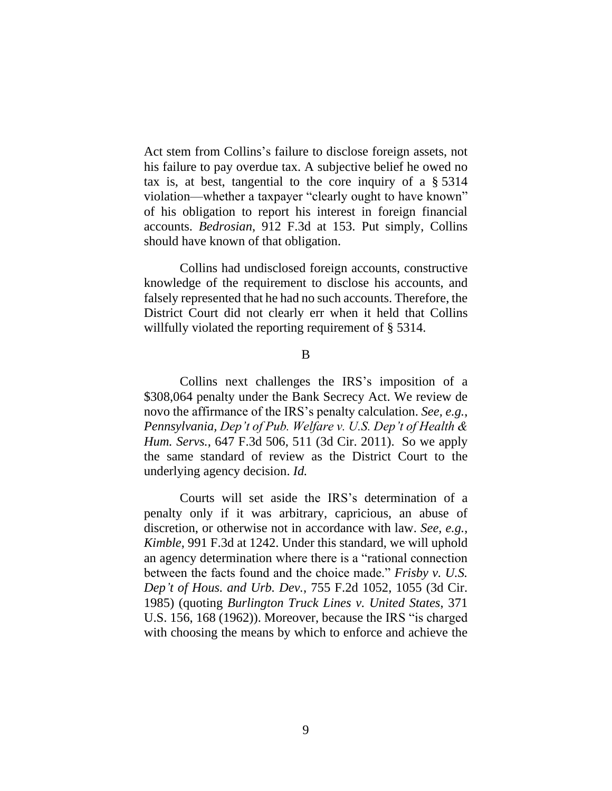Act stem from Collins's failure to disclose foreign assets, not his failure to pay overdue tax. A subjective belief he owed no tax is, at best, tangential to the core inquiry of a § 5314 violation—whether a taxpayer "clearly ought to have known" of his obligation to report his interest in foreign financial accounts. *Bedrosian*, 912 F.3d at 153. Put simply, Collins should have known of that obligation.

Collins had undisclosed foreign accounts, constructive knowledge of the requirement to disclose his accounts, and falsely represented that he had no such accounts. Therefore, the District Court did not clearly err when it held that Collins willfully violated the reporting requirement of § 5314.

B

Collins next challenges the IRS's imposition of a \$308,064 penalty under the Bank Secrecy Act. We review de novo the affirmance of the IRS's penalty calculation. *See, e.g.*, *Pennsylvania, Dep't of Pub. Welfare v. U.S. Dep't of Health & Hum. Servs.*, 647 F.3d 506, 511 (3d Cir. 2011). So we apply the same standard of review as the District Court to the underlying agency decision. *Id.*

Courts will set aside the IRS's determination of a penalty only if it was arbitrary, capricious, an abuse of discretion, or otherwise not in accordance with law. *See, e.g.*, *Kimble*, 991 F.3d at 1242. Under this standard, we will uphold an agency determination where there is a "rational connection between the facts found and the choice made." *Frisby v. U.S. Dep't of Hous. and Urb. Dev.*, 755 F.2d 1052, 1055 (3d Cir. 1985) (quoting *Burlington Truck Lines v. United States*, 371 U.S. 156, 168 (1962)). Moreover, because the IRS "is charged with choosing the means by which to enforce and achieve the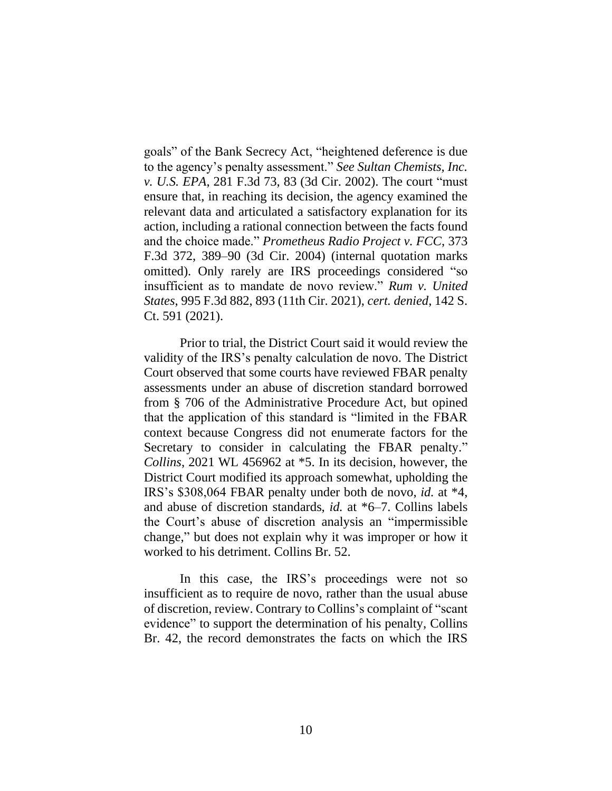goals" of the Bank Secrecy Act, "heightened deference is due to the agency's penalty assessment." *See Sultan Chemists, Inc. v. U.S. EPA*, 281 F.3d 73, 83 (3d Cir. 2002). The court "must ensure that, in reaching its decision, the agency examined the relevant data and articulated a satisfactory explanation for its action, including a rational connection between the facts found and the choice made." *Prometheus Radio Project v. FCC*, 373 F.3d 372, 389–90 (3d Cir. 2004) (internal quotation marks omitted). Only rarely are IRS proceedings considered "so insufficient as to mandate de novo review." *Rum v. United States*, 995 F.3d 882, 893 (11th Cir. 2021), *cert. denied*, 142 S. Ct. 591 (2021).

Prior to trial, the District Court said it would review the validity of the IRS's penalty calculation de novo. The District Court observed that some courts have reviewed FBAR penalty assessments under an abuse of discretion standard borrowed from § 706 of the Administrative Procedure Act, but opined that the application of this standard is "limited in the FBAR context because Congress did not enumerate factors for the Secretary to consider in calculating the FBAR penalty." *Collins*, 2021 WL 456962 at \*5. In its decision, however, the District Court modified its approach somewhat, upholding the IRS's \$308,064 FBAR penalty under both de novo, *id.* at \*4, and abuse of discretion standards, *id.* at \*6–7. Collins labels the Court's abuse of discretion analysis an "impermissible change," but does not explain why it was improper or how it worked to his detriment. Collins Br. 52.

In this case, the IRS's proceedings were not so insufficient as to require de novo, rather than the usual abuse of discretion, review. Contrary to Collins's complaint of "scant evidence" to support the determination of his penalty, Collins Br. 42, the record demonstrates the facts on which the IRS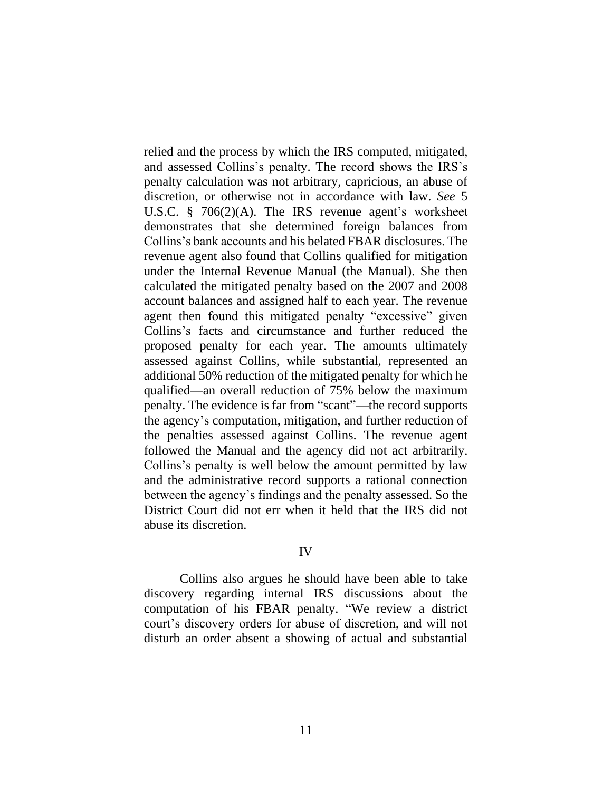relied and the process by which the IRS computed, mitigated, and assessed Collins's penalty. The record shows the IRS's penalty calculation was not arbitrary, capricious, an abuse of discretion, or otherwise not in accordance with law. *See* 5 U.S.C. § 706(2)(A). The IRS revenue agent's worksheet demonstrates that she determined foreign balances from Collins's bank accounts and his belated FBAR disclosures. The revenue agent also found that Collins qualified for mitigation under the Internal Revenue Manual (the Manual). She then calculated the mitigated penalty based on the 2007 and 2008 account balances and assigned half to each year. The revenue agent then found this mitigated penalty "excessive" given Collins's facts and circumstance and further reduced the proposed penalty for each year. The amounts ultimately assessed against Collins, while substantial, represented an additional 50% reduction of the mitigated penalty for which he qualified—an overall reduction of 75% below the maximum penalty. The evidence is far from "scant"—the record supports the agency's computation, mitigation, and further reduction of the penalties assessed against Collins. The revenue agent followed the Manual and the agency did not act arbitrarily. Collins's penalty is well below the amount permitted by law and the administrative record supports a rational connection between the agency's findings and the penalty assessed. So the District Court did not err when it held that the IRS did not abuse its discretion.

### IV

Collins also argues he should have been able to take discovery regarding internal IRS discussions about the computation of his FBAR penalty. "We review a district court's discovery orders for abuse of discretion, and will not disturb an order absent a showing of actual and substantial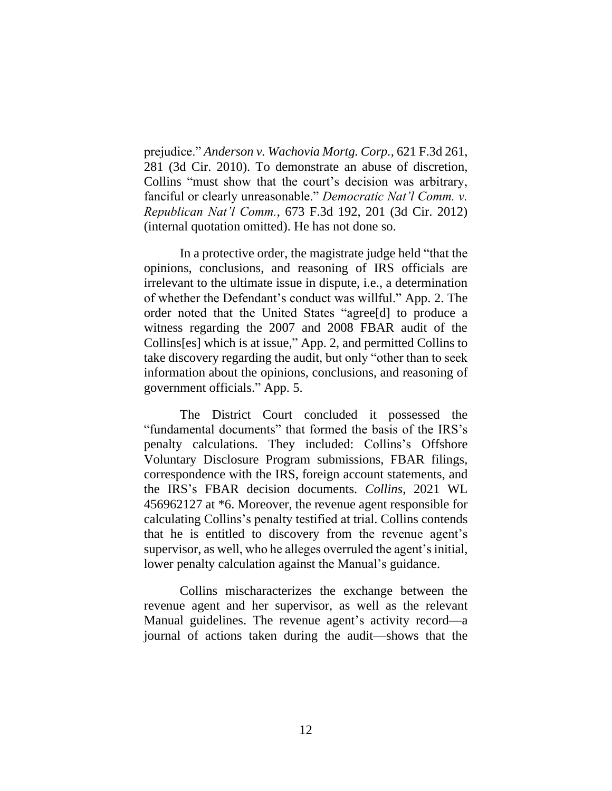prejudice." *Anderson v. Wachovia Mortg. Corp.*, 621 F.3d 261, 281 (3d Cir. 2010). To demonstrate an abuse of discretion, Collins "must show that the court's decision was arbitrary, fanciful or clearly unreasonable." *Democratic Nat'l Comm. v. Republican Nat'l Comm.*, 673 F.3d 192, 201 (3d Cir. 2012) (internal quotation omitted). He has not done so.

In a protective order, the magistrate judge held "that the opinions, conclusions, and reasoning of IRS officials are irrelevant to the ultimate issue in dispute, i.e., a determination of whether the Defendant's conduct was willful." App. 2. The order noted that the United States "agree[d] to produce a witness regarding the 2007 and 2008 FBAR audit of the Collins[es] which is at issue," App. 2, and permitted Collins to take discovery regarding the audit, but only "other than to seek information about the opinions, conclusions, and reasoning of government officials." App. 5.

The District Court concluded it possessed the "fundamental documents" that formed the basis of the IRS's penalty calculations. They included: Collins's Offshore Voluntary Disclosure Program submissions, FBAR filings, correspondence with the IRS, foreign account statements, and the IRS's FBAR decision documents. *Collins*, 2021 WL 456962127 at \*6. Moreover, the revenue agent responsible for calculating Collins's penalty testified at trial. Collins contends that he is entitled to discovery from the revenue agent's supervisor, as well, who he alleges overruled the agent's initial, lower penalty calculation against the Manual's guidance.

Collins mischaracterizes the exchange between the revenue agent and her supervisor, as well as the relevant Manual guidelines. The revenue agent's activity record—a journal of actions taken during the audit—shows that the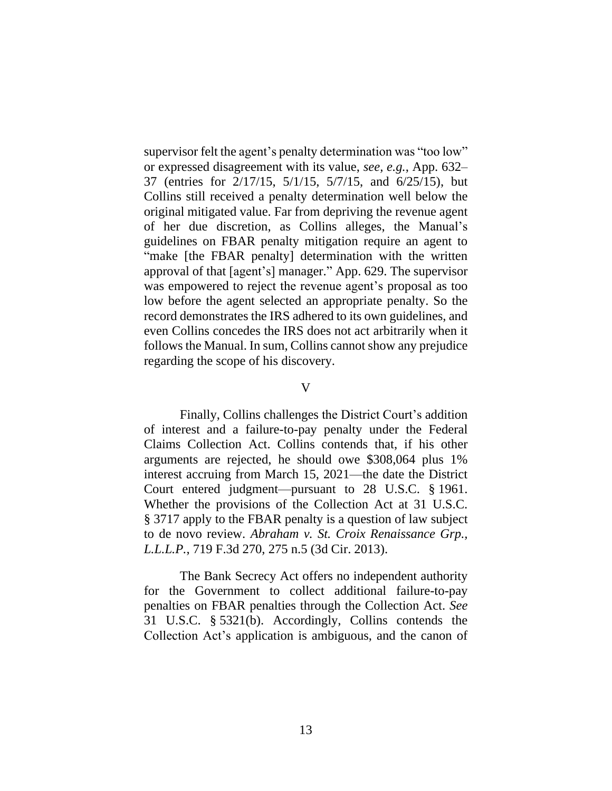supervisor felt the agent's penalty determination was "too low" or expressed disagreement with its value, *see, e.g.*, App. 632– 37 (entries for 2/17/15, 5/1/15, 5/7/15, and 6/25/15), but Collins still received a penalty determination well below the original mitigated value. Far from depriving the revenue agent of her due discretion, as Collins alleges, the Manual's guidelines on FBAR penalty mitigation require an agent to "make [the FBAR penalty] determination with the written approval of that [agent's] manager." App. 629. The supervisor was empowered to reject the revenue agent's proposal as too low before the agent selected an appropriate penalty. So the record demonstrates the IRS adhered to its own guidelines, and even Collins concedes the IRS does not act arbitrarily when it follows the Manual. In sum, Collins cannot show any prejudice regarding the scope of his discovery.

#### V

Finally, Collins challenges the District Court's addition of interest and a failure-to-pay penalty under the Federal Claims Collection Act. Collins contends that, if his other arguments are rejected, he should owe \$308,064 plus 1% interest accruing from March 15, 2021—the date the District Court entered judgment—pursuant to 28 U.S.C. § 1961. Whether the provisions of the Collection Act at 31 U.S.C. § 3717 apply to the FBAR penalty is a question of law subject to de novo review. *Abraham v. St. Croix Renaissance Grp., L.L.L.P.*, 719 F.3d 270, 275 n.5 (3d Cir. 2013).

The Bank Secrecy Act offers no independent authority for the Government to collect additional failure-to-pay penalties on FBAR penalties through the Collection Act. *See* 31 U.S.C. § 5321(b). Accordingly, Collins contends the Collection Act's application is ambiguous, and the canon of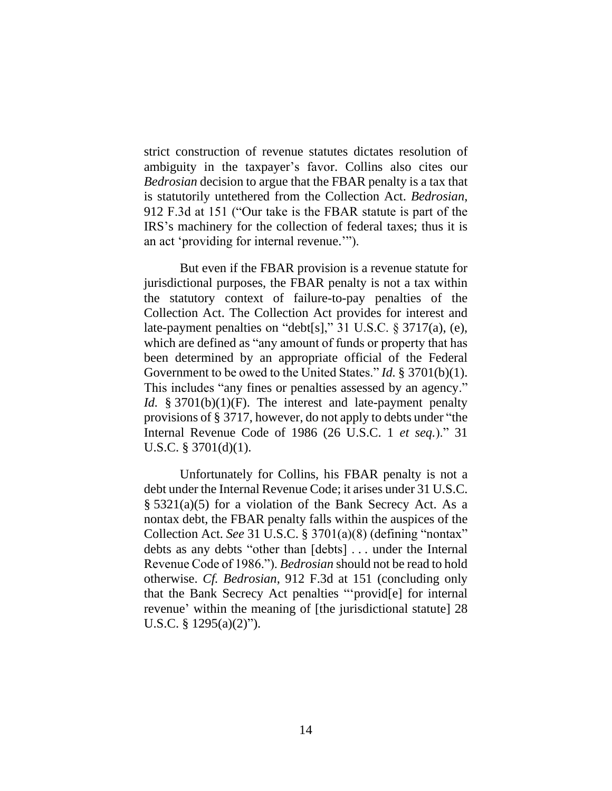strict construction of revenue statutes dictates resolution of ambiguity in the taxpayer's favor. Collins also cites our *Bedrosian* decision to argue that the FBAR penalty is a tax that is statutorily untethered from the Collection Act. *Bedrosian*, 912 F.3d at 151 ("Our take is the FBAR statute is part of the IRS's machinery for the collection of federal taxes; thus it is an act 'providing for internal revenue.'").

But even if the FBAR provision is a revenue statute for jurisdictional purposes, the FBAR penalty is not a tax within the statutory context of failure-to-pay penalties of the Collection Act. The Collection Act provides for interest and late-payment penalties on "debt[s]," 31 U.S.C. § 3717(a), (e), which are defined as "any amount of funds or property that has been determined by an appropriate official of the Federal Government to be owed to the United States." *Id.* § 3701(b)(1). This includes "any fines or penalties assessed by an agency." *Id.* § 3701(b)(1)(F). The interest and late-payment penalty provisions of § 3717, however, do not apply to debts under "the Internal Revenue Code of 1986 (26 U.S.C. 1 *et seq.*)." 31 U.S.C. § 3701(d)(1).

Unfortunately for Collins, his FBAR penalty is not a debt under the Internal Revenue Code; it arises under 31 U.S.C. § 5321(a)(5) for a violation of the Bank Secrecy Act. As a nontax debt, the FBAR penalty falls within the auspices of the Collection Act. *See* 31 U.S.C. § 3701(a)(8) (defining "nontax" debts as any debts "other than [debts] . . . under the Internal Revenue Code of 1986."). *Bedrosian* should not be read to hold otherwise. *Cf. Bedrosian*, 912 F.3d at 151 (concluding only that the Bank Secrecy Act penalties "'provid[e] for internal revenue' within the meaning of [the jurisdictional statute] 28 U.S.C. §  $1295(a)(2)$ ").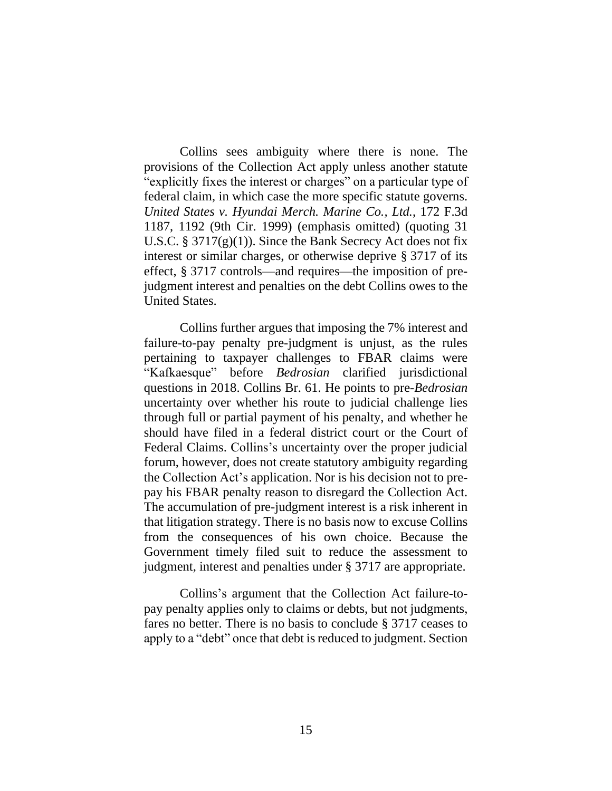Collins sees ambiguity where there is none. The provisions of the Collection Act apply unless another statute "explicitly fixes the interest or charges" on a particular type of federal claim, in which case the more specific statute governs. *United States v. Hyundai Merch. Marine Co., Ltd.*, 172 F.3d 1187, 1192 (9th Cir. 1999) (emphasis omitted) (quoting 31 U.S.C.  $\S 3717(g)(1)$ . Since the Bank Secrecy Act does not fix interest or similar charges, or otherwise deprive § 3717 of its effect, § 3717 controls—and requires—the imposition of prejudgment interest and penalties on the debt Collins owes to the United States.

Collins further argues that imposing the 7% interest and failure-to-pay penalty pre-judgment is unjust, as the rules pertaining to taxpayer challenges to FBAR claims were "Kafkaesque" before *Bedrosian* clarified jurisdictional questions in 2018. Collins Br. 61. He points to pre-*Bedrosian*  uncertainty over whether his route to judicial challenge lies through full or partial payment of his penalty, and whether he should have filed in a federal district court or the Court of Federal Claims. Collins's uncertainty over the proper judicial forum, however, does not create statutory ambiguity regarding the Collection Act's application. Nor is his decision not to prepay his FBAR penalty reason to disregard the Collection Act. The accumulation of pre-judgment interest is a risk inherent in that litigation strategy. There is no basis now to excuse Collins from the consequences of his own choice. Because the Government timely filed suit to reduce the assessment to judgment, interest and penalties under § 3717 are appropriate.

Collins's argument that the Collection Act failure-topay penalty applies only to claims or debts, but not judgments, fares no better. There is no basis to conclude § 3717 ceases to apply to a "debt" once that debt is reduced to judgment. Section